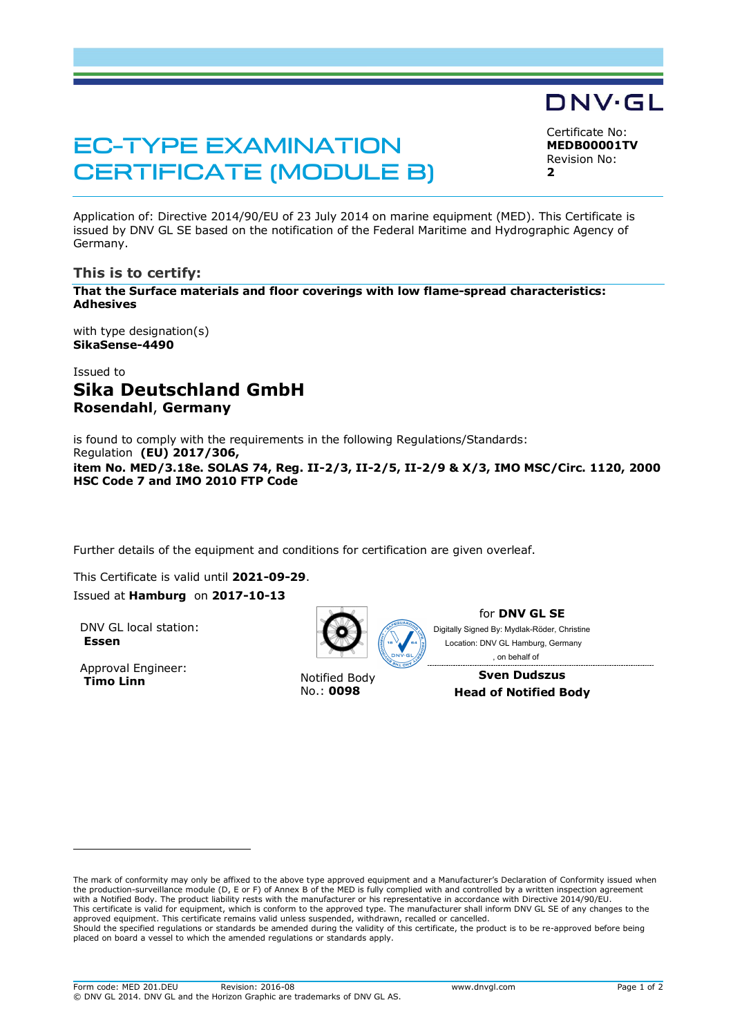# EC-TYPE EXAMINATION CERTIFICATE (MODULE B)

DNV·GL Certificate No:

**MEDB00001TV** Revision No: **2**

Application of: Directive 2014/90/EU of 23 July 2014 on marine equipment (MED). This Certificate is issued by DNV GL SE based on the notification of the Federal Maritime and Hydrographic Agency of Germany.

#### **This is to certify:**

**That the Surface materials and floor coverings with low flame-spread characteristics: Adhesives**

with type designation(s) **SikaSense-4490**

## Issued to **Sika Deutschland GmbH Rosendahl**, **Germany**

is found to comply with the requirements in the following Regulations/Standards: Regulation **(EU) 2017/306, item No. MED/3.18e. SOLAS 74, Reg. II-2/3, II-2/5, II-2/9 & X/3, IMO MSC/Circ. 1120, 2000 HSC Code 7 and IMO 2010 FTP Code**

Further details of the equipment and conditions for certification are given overleaf.

This Certificate is valid until **2021-09-29**. Issued at **Hamburg** on **2017-10-13**

DNV GL local station: **Essen**

Approval Engineer: **Timo Linn** Notified Body

| <b>BOUARDIN</b><br>Ġ4<br>18<br>ONÝGL,<br><b>AND IN BRIDGE</b> |
|---------------------------------------------------------------|
|                                                               |

No.: **0098**

for **DNV GL SE** Digitally Signed By: Mydlak-Röder, Christine Location: DNV GL Hamburg, Germany , on behalf of

> **Sven Dudszus Head of Notified Body**

The mark of conformity may only be affixed to the above type approved equipment and a Manufacturer's Declaration of Conformity issued when the production-surveillance module (D, E or F) of Annex B of the MED is fully complied with and controlled by a written inspection agreement with a Notified Body. The product liability rests with the manufacturer or his representative in accordance with Directive 2014/90/EU. This certificate is valid for equipment, which is conform to the approved type. The manufacturer shall inform DNV GL SE of any changes to the approved equipment. This certificate remains valid unless suspended, withdrawn, recalled or cancelled. Should the specified regulations or standards be amended during the validity of this certificate, the product is to be re-approved before being placed on board a vessel to which the amended regulations or standards apply.